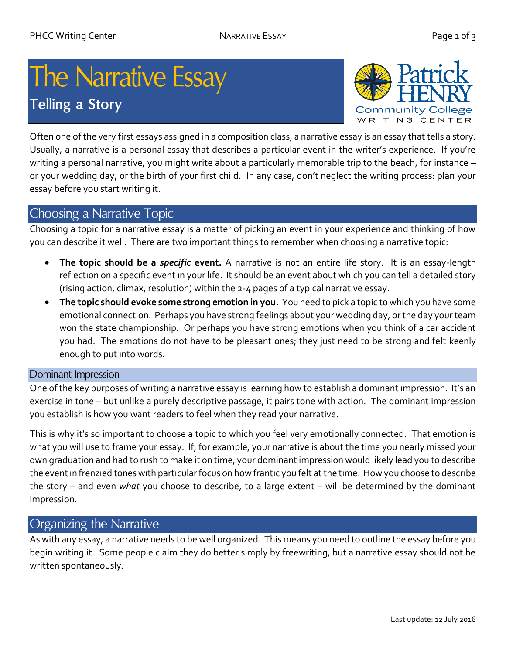# The Narrative Essay **Telling a Story**



Often one of the very first essays assigned in a composition class, a narrative essay is an essay that tells a story. Usually, a narrative is a personal essay that describes a particular event in the writer's experience. If you're writing a personal narrative, you might write about a particularly memorable trip to the beach, for instance – or your wedding day, or the birth of your first child. In any case, don't neglect the writing process: plan your essay before you start writing it.

## Choosing a Narrative Topic

Choosing a topic for a narrative essay is a matter of picking an event in your experience and thinking of how you can describe it well. There are two important things to remember when choosing a narrative topic:

- **The topic should be a** *specific* **event.** A narrative is not an entire life story. It is an essay-length reflection on a specific event in your life. It should be an event about which you can tell a detailed story (rising action, climax, resolution) within the 2-4 pages of a typical narrative essay.
- **The topic should evoke some strong emotion in you.** You need to pick a topic to which you have some emotional connection. Perhaps you have strong feelings about your wedding day, or the day your team won the state championship. Or perhaps you have strong emotions when you think of a car accident you had. The emotions do not have to be pleasant ones; they just need to be strong and felt keenly enough to put into words.

#### Dominant Impression

One of the key purposes of writing a narrative essay is learning how to establish a dominant impression. It's an exercise in tone – but unlike a purely descriptive passage, it pairs tone with action. The dominant impression you establish is how you want readers to feel when they read your narrative.

This is why it's so important to choose a topic to which you feel very emotionally connected. That emotion is what you will use to frame your essay. If, for example, your narrative is about the time you nearly missed your own graduation and had to rush to make it on time, your dominant impression would likely lead you to describe the event in frenzied tones with particular focus on how frantic you felt at the time. How you choose to describe the story – and even *what* you choose to describe, to a large extent – will be determined by the dominant impression.

## Organizing the Narrative

As with any essay, a narrative needs to be well organized. This means you need to outline the essay before you begin writing it. Some people claim they do better simply by freewriting, but a narrative essay should not be written spontaneously.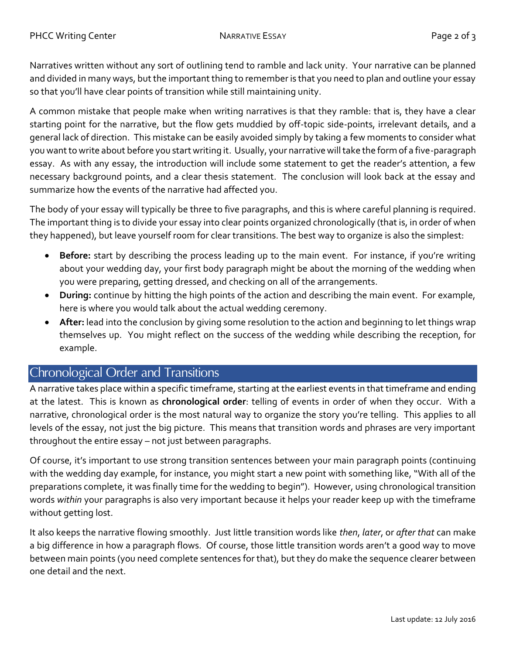Narratives written without any sort of outlining tend to ramble and lack unity. Your narrative can be planned and divided in many ways, but the important thing to remember is that you need to plan and outline your essay so that you'll have clear points of transition while still maintaining unity.

A common mistake that people make when writing narratives is that they ramble: that is, they have a clear starting point for the narrative, but the flow gets muddied by off-topic side-points, irrelevant details, and a general lack of direction. This mistake can be easily avoided simply by taking a few moments to consider what you want to write about before you start writing it. Usually, your narrative will take the form of a five-paragraph essay. As with any essay, the introduction will include some statement to get the reader's attention, a few necessary background points, and a clear thesis statement. The conclusion will look back at the essay and summarize how the events of the narrative had affected you.

The body of your essay will typically be three to five paragraphs, and this is where careful planning is required. The important thing is to divide your essay into clear points organized chronologically (that is, in order of when they happened), but leave yourself room for clear transitions. The best way to organize is also the simplest:

- **Before:** start by describing the process leading up to the main event. For instance, if you're writing about your wedding day, your first body paragraph might be about the morning of the wedding when you were preparing, getting dressed, and checking on all of the arrangements.
- **During:** continue by hitting the high points of the action and describing the main event. For example, here is where you would talk about the actual wedding ceremony.
- **After:** lead into the conclusion by giving some resolution to the action and beginning to let things wrap themselves up. You might reflect on the success of the wedding while describing the reception, for example.

# Chronological Order and Transitions

A narrative takes place within a specific timeframe, starting at the earliest events in that timeframe and ending at the latest. This is known as **chronological order**: telling of events in order of when they occur. With a narrative, chronological order is the most natural way to organize the story you're telling. This applies to all levels of the essay, not just the big picture. This means that transition words and phrases are very important throughout the entire essay – not just between paragraphs.

Of course, it's important to use strong transition sentences between your main paragraph points (continuing with the wedding day example, for instance, you might start a new point with something like, "With all of the preparations complete, it was finally time for the wedding to begin"). However, using chronological transition words *within* your paragraphs is also very important because it helps your reader keep up with the timeframe without getting lost.

It also keeps the narrative flowing smoothly. Just little transition words like *then*, *later*, or *after that* can make a big difference in how a paragraph flows. Of course, those little transition words aren't a good way to move between main points (you need complete sentences for that), but they do make the sequence clearer between one detail and the next.